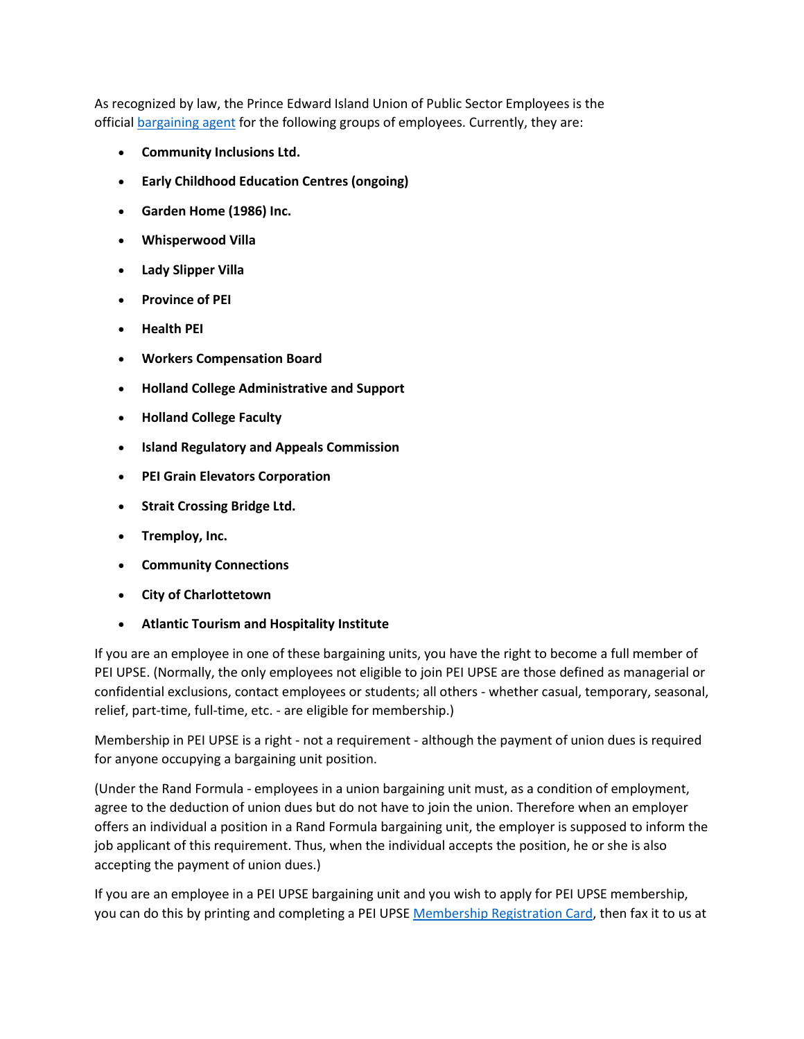As recognized by law, the Prince Edward Island Union of Public Sector Employees is the official [bargaining agent](http://peiupse.ca/?page=bargaining) for the following groups of employees. Currently, they are:

- **Community Inclusions Ltd.**
- **Early Childhood Education Centres (ongoing)**
- **Garden Home (1986) Inc.**
- **Whisperwood Villa**
- **Lady Slipper Villa**
- **Province of PEI**
- **Health PEI**
- **Workers Compensation Board**
- **Holland College Administrative and Support**
- **Holland College Faculty**
- **Island Regulatory and Appeals Commission**
- **PEI Grain Elevators Corporation**
- **Strait Crossing Bridge Ltd.**
- **Tremploy, Inc.**
- **Community Connections**
- **City of Charlottetown**
- **Atlantic Tourism and Hospitality Institute**

If you are an employee in one of these bargaining units, you have the right to become a full member of PEI UPSE. (Normally, the only employees not eligible to join PEI UPSE are those defined as managerial or confidential exclusions, contact employees or students; all others - whether casual, temporary, seasonal, relief, part-time, full-time, etc. - are eligible for membership.)

Membership in PEI UPSE is a right - not a requirement - although the payment of union dues is required for anyone occupying a bargaining unit position.

(Under the Rand Formula - employees in a union bargaining unit must, as a condition of employment, agree to the deduction of union dues but do not have to join the union. Therefore when an employer offers an individual a position in a Rand Formula bargaining unit, the employer is supposed to inform the job applicant of this requirement. Thus, when the individual accepts the position, he or she is also accepting the payment of union dues.)

If you are an employee in a PEI UPSE bargaining unit and you wish to apply for PEI UPSE membership, you can do this by printing and completing a PEI UPSE [Membership Registration Card,](http://peiupse.ca/forms/MEMBERSHIP%20REGISTRATION%20CARD.pdf) then fax it to us at